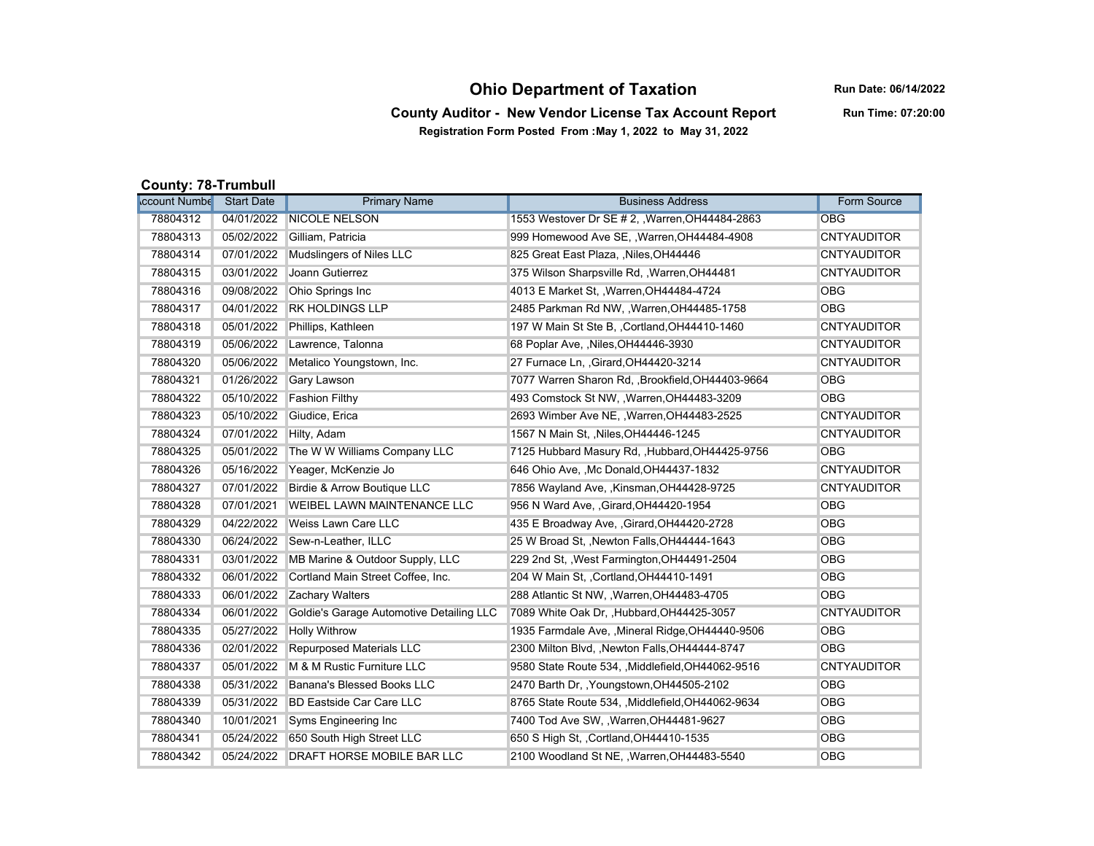## **Ohio Department of Taxation**

**Run Date: 06/14/2022**

**County Auditor - New Vendor License Tax Account Report Registration Form Posted From :May 1, 2022 to May 31, 2022**

**Run Time: 07:20:00**

## **County: 78-Trumbull**

| <b>ccount Numbe</b> | <b>Start Date</b> | <b>Primary Name</b>                      | <b>Business Address</b>                           | <b>Form Source</b> |
|---------------------|-------------------|------------------------------------------|---------------------------------------------------|--------------------|
| 78804312            | 04/01/2022        | <b>NICOLE NELSON</b>                     | 1553 Westover Dr SE # 2, , Warren, OH44484-2863   | <b>OBG</b>         |
| 78804313            | 05/02/2022        | Gilliam. Patricia                        | 999 Homewood Ave SE, , Warren, OH44484-4908       | <b>CNTYAUDITOR</b> |
| 78804314            | 07/01/2022        | <b>Mudslingers of Niles LLC</b>          | 825 Great East Plaza, , Niles, OH44446            | <b>CNTYAUDITOR</b> |
| 78804315            | 03/01/2022        | Joann Gutierrez                          | 375 Wilson Sharpsville Rd, , Warren, OH44481      | <b>CNTYAUDITOR</b> |
| 78804316            | 09/08/2022        | Ohio Springs Inc                         | 4013 E Market St., Warren, OH44484-4724           | <b>OBG</b>         |
| 78804317            | 04/01/2022        | <b>RK HOLDINGS LLP</b>                   | 2485 Parkman Rd NW, , Warren, OH44485-1758        | <b>OBG</b>         |
| 78804318            | 05/01/2022        | Phillips, Kathleen                       | 197 W Main St Ste B, , Cortland, OH44410-1460     | <b>CNTYAUDITOR</b> |
| 78804319            | 05/06/2022        | Lawrence, Talonna                        | 68 Poplar Ave, Niles, OH44446-3930                | <b>CNTYAUDITOR</b> |
| 78804320            | 05/06/2022        | Metalico Youngstown, Inc.                | 27 Furnace Ln. , Girard, OH44420-3214             | <b>CNTYAUDITOR</b> |
| 78804321            | 01/26/2022        | <b>Gary Lawson</b>                       | 7077 Warren Sharon Rd, , Brookfield, OH44403-9664 | <b>OBG</b>         |
| 78804322            | 05/10/2022        | <b>Fashion Filthy</b>                    | 493 Comstock St NW, , Warren, OH44483-3209        | <b>OBG</b>         |
| 78804323            | 05/10/2022        | Giudice, Erica                           | 2693 Wimber Ave NE, , Warren, OH44483-2525        | <b>CNTYAUDITOR</b> |
| 78804324            | 07/01/2022        | Hilty, Adam                              | 1567 N Main St, , Niles, OH44446-1245             | <b>CNTYAUDITOR</b> |
| 78804325            | 05/01/2022        | The W W Williams Company LLC             | 7125 Hubbard Masury Rd., Hubbard, OH44425-9756    | <b>OBG</b>         |
| 78804326            | 05/16/2022        | Yeager, McKenzie Jo                      | 646 Ohio Ave. .Mc Donald.OH44437-1832             | <b>CNTYAUDITOR</b> |
| 78804327            | 07/01/2022        | Birdie & Arrow Boutique LLC              | 7856 Wayland Ave, , Kinsman, OH44428-9725         | <b>CNTYAUDITOR</b> |
| 78804328            | 07/01/2021        | WEIBEL LAWN MAINTENANCE LLC              | 956 N Ward Ave, , Girard, OH44420-1954            | <b>OBG</b>         |
| 78804329            | 04/22/2022        | Weiss Lawn Care LLC                      | 435 E Broadway Ave, , Girard, OH44420-2728        | <b>OBG</b>         |
| 78804330            | 06/24/2022        | Sew-n-Leather, ILLC                      | 25 W Broad St., Newton Falls, OH44444-1643        | <b>OBG</b>         |
| 78804331            | 03/01/2022        | MB Marine & Outdoor Supply, LLC          | 229 2nd St, , West Farmington, OH44491-2504       | <b>OBG</b>         |
| 78804332            | 06/01/2022        | Cortland Main Street Coffee, Inc.        | 204 W Main St., Cortland, OH44410-1491            | <b>OBG</b>         |
| 78804333            | 06/01/2022        | Zachary Walters                          | 288 Atlantic St NW, , Warren, OH44483-4705        | <b>OBG</b>         |
| 78804334            | 06/01/2022        | Goldie's Garage Automotive Detailing LLC | 7089 White Oak Dr, , Hubbard, OH44425-3057        | <b>CNTYAUDITOR</b> |
| 78804335            | 05/27/2022        | <b>Holly Withrow</b>                     | 1935 Farmdale Ave, , Mineral Ridge, OH44440-9506  | <b>OBG</b>         |
| 78804336            | 02/01/2022        | <b>Repurposed Materials LLC</b>          | 2300 Milton Blvd, , Newton Falls, OH44444-8747    | <b>OBG</b>         |
| 78804337            | 05/01/2022        | M & M Rustic Furniture LLC               | 9580 State Route 534, ,Middlefield, OH44062-9516  | <b>CNTYAUDITOR</b> |
| 78804338            | 05/31/2022        | Banana's Blessed Books LLC               | 2470 Barth Dr., Youngstown, OH44505-2102          | <b>OBG</b>         |
| 78804339            | 05/31/2022        | <b>BD Eastside Car Care LLC</b>          | 8765 State Route 534, , Middlefield, OH44062-9634 | <b>OBG</b>         |
| 78804340            | 10/01/2021        | Syms Engineering Inc                     | 7400 Tod Ave SW, , Warren, OH44481-9627           | <b>OBG</b>         |
| 78804341            | 05/24/2022        | 650 South High Street LLC                | 650 S High St. . Cortland, OH44410-1535           | <b>OBG</b>         |
| 78804342            | 05/24/2022        | <b>DRAFT HORSE MOBILE BAR LLC</b>        | 2100 Woodland St NE, , Warren, OH44483-5540       | <b>OBG</b>         |